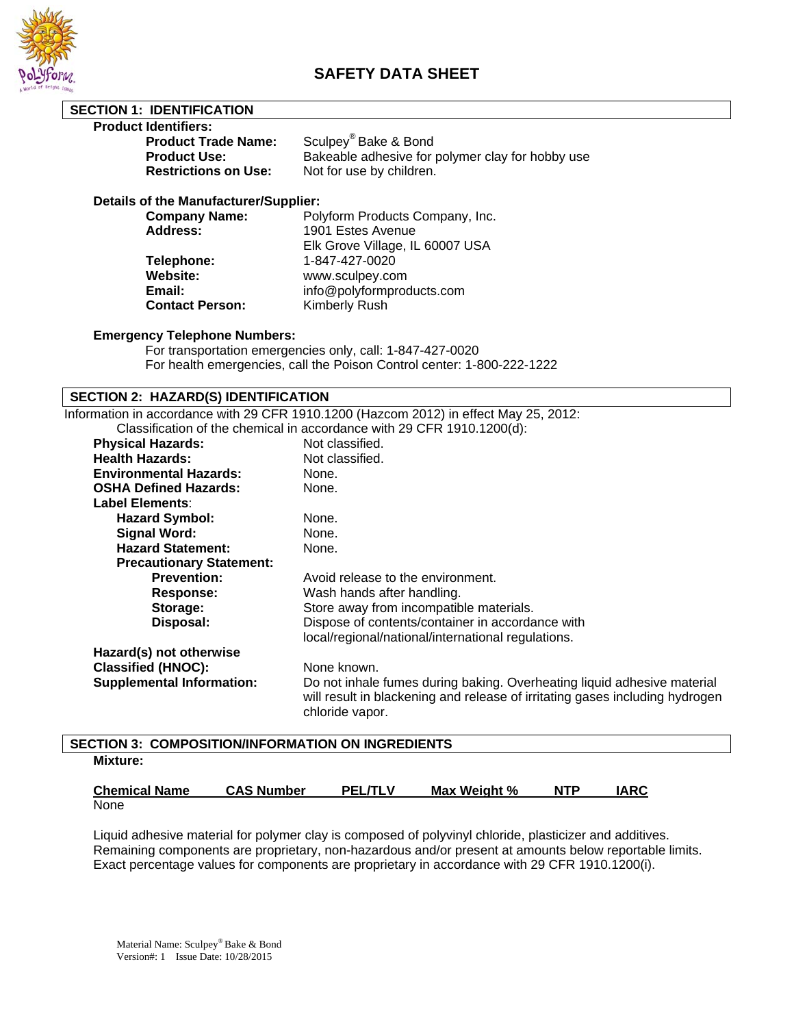

# **SAFETY DATA SHEET**

| <b>SECTION 1: IDENTIFICATION</b>             |                                                  |
|----------------------------------------------|--------------------------------------------------|
| <b>Product Identifiers:</b>                  |                                                  |
| <b>Product Trade Name:</b>                   | Sculpey <sup>®</sup> Bake & Bond                 |
| <b>Product Use:</b>                          | Bakeable adhesive for polymer clay for hobby use |
| <b>Restrictions on Use:</b>                  | Not for use by children.                         |
| <b>Details of the Manufacturer/Supplier:</b> |                                                  |
| <b>Company Name:</b>                         | Polyform Products Company, Inc.                  |
| <b>Address:</b>                              | 1901 Estes Avenue                                |

 Elk Grove Village, IL 60007 USA **Telephone:** 1-847-427-0020<br> **Website:** www.sculpev.com **Website:** www.sculpey.com **Email:** info@polyformproducts.com **Contact Person:** Kimberly Rush

#### **Emergency Telephone Numbers:**

 For transportation emergencies only, call: 1-847-427-0020 For health emergencies, call the Poison Control center: 1-800-222-1222

### **SECTION 2: HAZARD(S) IDENTIFICATION**

Information in accordance with 29 CFR 1910.1200 (Hazcom 2012) in effect May 25, 2012:

|                                  | Classification of the chemical in accordance with 29 CFR 1910.1200(d):                                                                                                     |
|----------------------------------|----------------------------------------------------------------------------------------------------------------------------------------------------------------------------|
| <b>Physical Hazards:</b>         | Not classified.                                                                                                                                                            |
| <b>Health Hazards:</b>           | Not classified.                                                                                                                                                            |
| <b>Environmental Hazards:</b>    | None.                                                                                                                                                                      |
| <b>OSHA Defined Hazards:</b>     | None.                                                                                                                                                                      |
| Label Elements:                  |                                                                                                                                                                            |
| <b>Hazard Symbol:</b>            | None.                                                                                                                                                                      |
| <b>Signal Word:</b>              | None.                                                                                                                                                                      |
| <b>Hazard Statement:</b>         | None.                                                                                                                                                                      |
| <b>Precautionary Statement:</b>  |                                                                                                                                                                            |
| <b>Prevention:</b>               | Avoid release to the environment.                                                                                                                                          |
| <b>Response:</b>                 | Wash hands after handling.                                                                                                                                                 |
| Storage:                         | Store away from incompatible materials.                                                                                                                                    |
| Disposal:                        | Dispose of contents/container in accordance with                                                                                                                           |
|                                  | local/regional/national/international regulations.                                                                                                                         |
| Hazard(s) not otherwise          |                                                                                                                                                                            |
| <b>Classified (HNOC):</b>        | None known.                                                                                                                                                                |
| <b>Supplemental Information:</b> | Do not inhale fumes during baking. Overheating liquid adhesive material<br>will result in blackening and release of irritating gases including hydrogen<br>chloride vapor. |
|                                  |                                                                                                                                                                            |

# **SECTION 3: COMPOSITION/INFORMATION ON INGREDIENTS Mixture:**

| <b>Chemical Name</b> | <b>CAS Number</b> | <b>PEL/TLV</b> | Max Weight % | <b>NTP</b> | IARC. |
|----------------------|-------------------|----------------|--------------|------------|-------|
| None                 |                   |                |              |            |       |

Liquid adhesive material for polymer clay is composed of polyvinyl chloride, plasticizer and additives. Remaining components are proprietary, non-hazardous and/or present at amounts below reportable limits. Exact percentage values for components are proprietary in accordance with 29 CFR 1910.1200(i).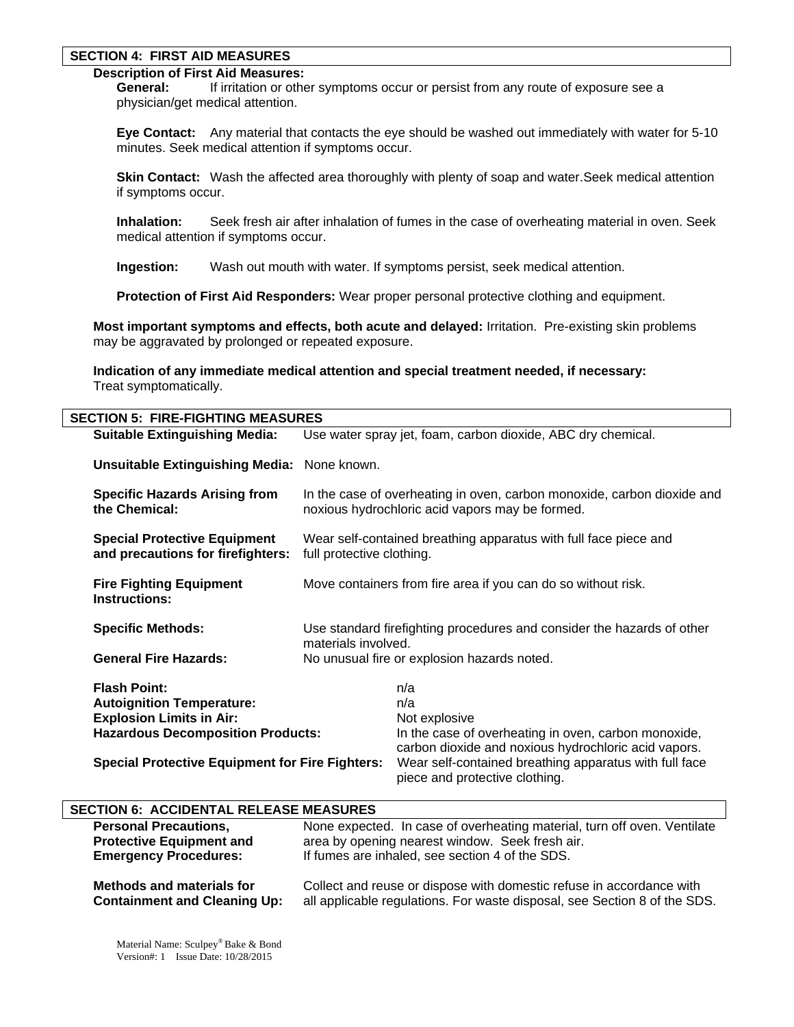#### **SECTION 4: FIRST AID MEASURES**

# **Description of First Aid Measures:**

 **General:** If irritation or other symptoms occur or persist from any route of exposure see a physician/get medical attention.

 **Eye Contact:** Any material that contacts the eye should be washed out immediately with water for 5-10 minutes. Seek medical attention if symptoms occur.

**Skin Contact:** Wash the affected area thoroughly with plenty of soap and water. Seek medical attention if symptoms occur.

 **Inhalation:** Seek fresh air after inhalation of fumes in the case of overheating material in oven. Seek medical attention if symptoms occur.

 **Ingestion:** Wash out mouth with water. If symptoms persist, seek medical attention.

 **Protection of First Aid Responders:** Wear proper personal protective clothing and equipment.

**Most important symptoms and effects, both acute and delayed:** Irritation. Pre-existing skin problems may be aggravated by prolonged or repeated exposure.

**Indication of any immediate medical attention and special treatment needed, if necessary:** Treat symptomatically.

| <b>SECTION 5: FIRE-FIGHTING MEASURES</b>                                 |                                                                                                                            |                                                                                                              |
|--------------------------------------------------------------------------|----------------------------------------------------------------------------------------------------------------------------|--------------------------------------------------------------------------------------------------------------|
| <b>Suitable Extinguishing Media:</b>                                     | Use water spray jet, foam, carbon dioxide, ABC dry chemical.                                                               |                                                                                                              |
| <b>Unsuitable Extinguishing Media:</b> None known.                       |                                                                                                                            |                                                                                                              |
| <b>Specific Hazards Arising from</b><br>the Chemical:                    | In the case of overheating in oven, carbon monoxide, carbon dioxide and<br>noxious hydrochloric acid vapors may be formed. |                                                                                                              |
| <b>Special Protective Equipment</b><br>and precautions for firefighters: | Wear self-contained breathing apparatus with full face piece and<br>full protective clothing.                              |                                                                                                              |
| <b>Fire Fighting Equipment</b><br><b>Instructions:</b>                   | Move containers from fire area if you can do so without risk.                                                              |                                                                                                              |
| <b>Specific Methods:</b>                                                 | Use standard firefighting procedures and consider the hazards of other<br>materials involved.                              |                                                                                                              |
| <b>General Fire Hazards:</b>                                             | No unusual fire or explosion hazards noted.                                                                                |                                                                                                              |
| <b>Flash Point:</b>                                                      |                                                                                                                            | n/a                                                                                                          |
| <b>Autoignition Temperature:</b>                                         |                                                                                                                            | n/a                                                                                                          |
| <b>Explosion Limits in Air:</b>                                          |                                                                                                                            | Not explosive                                                                                                |
| <b>Hazardous Decomposition Products:</b>                                 |                                                                                                                            | In the case of overheating in oven, carbon monoxide,<br>carbon dioxide and noxious hydrochloric acid vapors. |
| <b>Special Protective Equipment for Fire Fighters:</b>                   |                                                                                                                            | Wear self-contained breathing apparatus with full face<br>piece and protective clothing.                     |

### **SECTION 6: ACCIDENTAL RELEASE MEASURES**

| <b>Personal Precautions,</b>        | None expected. In case of overheating material, turn off oven. Ventilate  |
|-------------------------------------|---------------------------------------------------------------------------|
| <b>Protective Equipment and</b>     | area by opening nearest window. Seek fresh air.                           |
| <b>Emergency Procedures:</b>        | If fumes are inhaled, see section 4 of the SDS.                           |
| <b>Methods and materials for</b>    | Collect and reuse or dispose with domestic refuse in accordance with      |
| <b>Containment and Cleaning Up:</b> | all applicable regulations. For waste disposal, see Section 8 of the SDS. |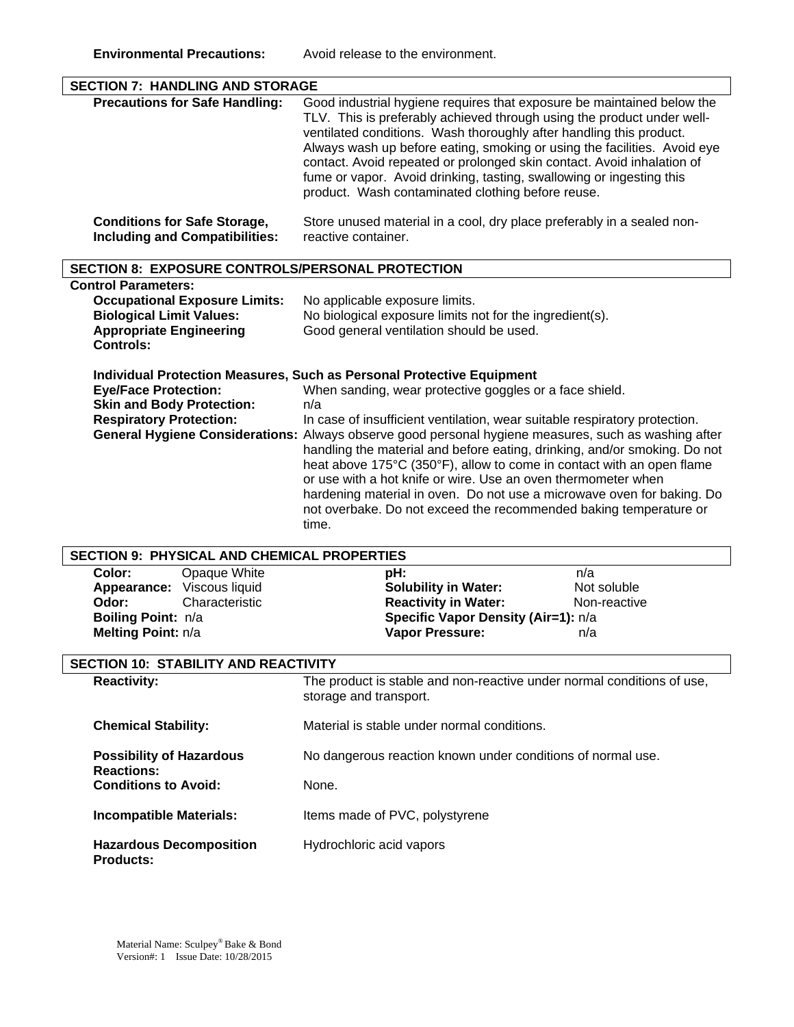| <b>SECTION 7: HANDLING AND STORAGE</b>                                                                                                                      |                                                                                                                                                                                                                                                                                                                                                                                                                                                                                                                                                                                                                                                                                                                     |  |
|-------------------------------------------------------------------------------------------------------------------------------------------------------------|---------------------------------------------------------------------------------------------------------------------------------------------------------------------------------------------------------------------------------------------------------------------------------------------------------------------------------------------------------------------------------------------------------------------------------------------------------------------------------------------------------------------------------------------------------------------------------------------------------------------------------------------------------------------------------------------------------------------|--|
| <b>Precautions for Safe Handling:</b>                                                                                                                       | Good industrial hygiene requires that exposure be maintained below the<br>TLV. This is preferably achieved through using the product under well-<br>ventilated conditions. Wash thoroughly after handling this product.<br>Always wash up before eating, smoking or using the facilities. Avoid eye<br>contact. Avoid repeated or prolonged skin contact. Avoid inhalation of<br>fume or vapor. Avoid drinking, tasting, swallowing or ingesting this<br>product. Wash contaminated clothing before reuse.                                                                                                                                                                                                          |  |
| <b>Conditions for Safe Storage,</b><br><b>Including and Compatibilities:</b>                                                                                | Store unused material in a cool, dry place preferably in a sealed non-<br>reactive container.                                                                                                                                                                                                                                                                                                                                                                                                                                                                                                                                                                                                                       |  |
| <b>SECTION 8: EXPOSURE CONTROLS/PERSONAL PROTECTION</b>                                                                                                     |                                                                                                                                                                                                                                                                                                                                                                                                                                                                                                                                                                                                                                                                                                                     |  |
| <b>Control Parameters:</b><br><b>Occupational Exposure Limits:</b><br><b>Biological Limit Values:</b><br><b>Appropriate Engineering</b><br><b>Controls:</b> | No applicable exposure limits.<br>No biological exposure limits not for the ingredient(s).<br>Good general ventilation should be used.                                                                                                                                                                                                                                                                                                                                                                                                                                                                                                                                                                              |  |
| <b>Eye/Face Protection:</b><br><b>Skin and Body Protection:</b><br><b>Respiratory Protection:</b>                                                           | <b>Individual Protection Measures, Such as Personal Protective Equipment</b><br>When sanding, wear protective goggles or a face shield.<br>n/a<br>In case of insufficient ventilation, wear suitable respiratory protection.<br>General Hygiene Considerations: Always observe good personal hygiene measures, such as washing after<br>handling the material and before eating, drinking, and/or smoking. Do not<br>heat above 175°C (350°F), allow to come in contact with an open flame<br>or use with a hot knife or wire. Use an oven thermometer when<br>hardening material in oven. Do not use a microwave oven for baking. Do<br>not overbake. Do not exceed the recommended baking temperature or<br>time. |  |
| <b>SECTION 9: PHYSICAL AND CHEMICAL PROPERTIES</b>                                                                                                          |                                                                                                                                                                                                                                                                                                                                                                                                                                                                                                                                                                                                                                                                                                                     |  |
| Color:<br>Opaque White<br>Appearance: Viscous liquid<br>Characteristic<br>Odor:<br>Boiling Point: n/a<br>Melting Point: n/a                                 | pH:<br>n/a<br>Not soluble<br><b>Solubility in Water:</b><br><b>Reactivity in Water:</b><br>Non-reactive<br>Specific Vapor Density (Air=1): n/a<br><b>Vapor Pressure:</b><br>n/a                                                                                                                                                                                                                                                                                                                                                                                                                                                                                                                                     |  |
| <b>SECTION 10: STABILITY AND REACTIVITY</b>                                                                                                                 |                                                                                                                                                                                                                                                                                                                                                                                                                                                                                                                                                                                                                                                                                                                     |  |
| <b>Reactivity:</b>                                                                                                                                          | The product is stable and non-reactive under normal conditions of use,<br>storage and transport.                                                                                                                                                                                                                                                                                                                                                                                                                                                                                                                                                                                                                    |  |
| <b>Chemical Stability:</b>                                                                                                                                  | Material is stable under normal conditions.                                                                                                                                                                                                                                                                                                                                                                                                                                                                                                                                                                                                                                                                         |  |
| <b>Possibility of Hazardous</b><br><b>Reactions:</b><br><b>Conditions to Avoid:</b>                                                                         | No dangerous reaction known under conditions of normal use.<br>None.                                                                                                                                                                                                                                                                                                                                                                                                                                                                                                                                                                                                                                                |  |
| <b>Incompatible Materials:</b>                                                                                                                              | Items made of PVC, polystyrene                                                                                                                                                                                                                                                                                                                                                                                                                                                                                                                                                                                                                                                                                      |  |
| <b>Hazardous Decomposition</b><br><b>Products:</b>                                                                                                          | Hydrochloric acid vapors                                                                                                                                                                                                                                                                                                                                                                                                                                                                                                                                                                                                                                                                                            |  |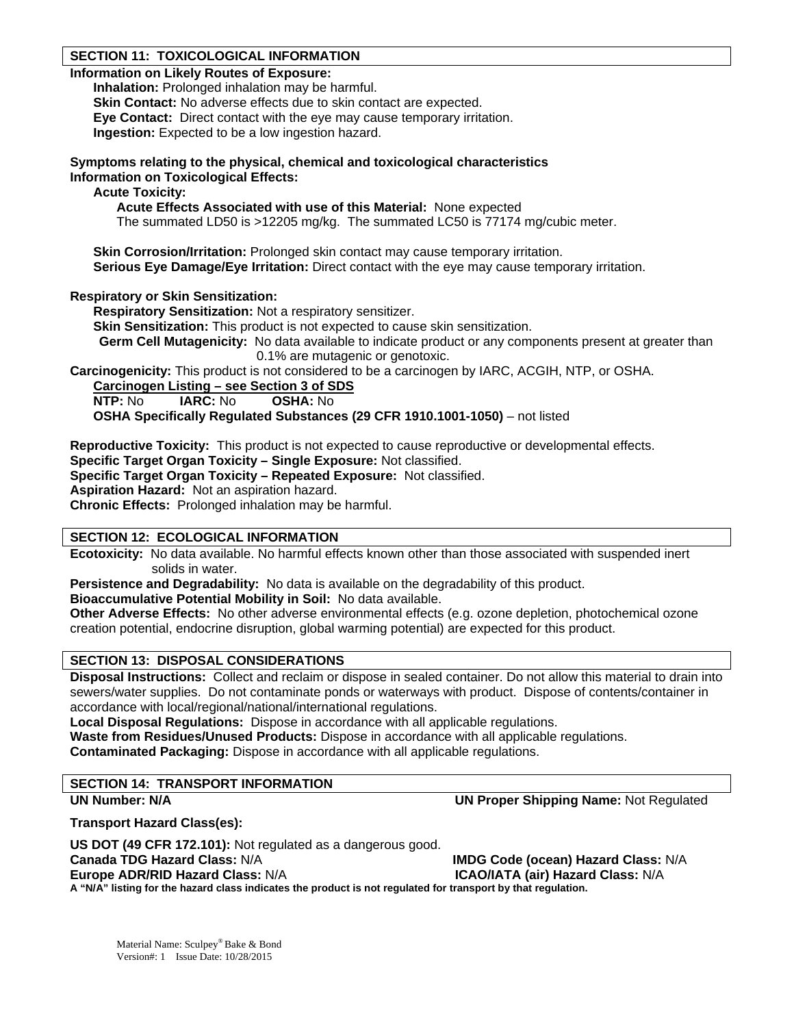# **SECTION 11: TOXICOLOGICAL INFORMATION**

### **Information on Likely Routes of Exposure:**

**Inhalation:** Prolonged inhalation may be harmful. **Skin Contact:** No adverse effects due to skin contact are expected. **Eye Contact:** Direct contact with the eye may cause temporary irritation. **Ingestion:** Expected to be a low ingestion hazard.

**Symptoms relating to the physical, chemical and toxicological characteristics Information on Toxicological Effects:** 

**Acute Toxicity:** 

 **Acute Effects Associated with use of this Material:** None expected

The summated LD50 is >12205 mg/kg. The summated LC50 is 77174 mg/cubic meter.

**Skin Corrosion/Irritation:** Prolonged skin contact may cause temporary irritation. **Serious Eve Damage/Eve Irritation:** Direct contact with the eve may cause temporary irritation.

# **Respiratory or Skin Sensitization:**

**Respiratory Sensitization:** Not a respiratory sensitizer.

**Skin Sensitization:** This product is not expected to cause skin sensitization.

**Germ Cell Mutagenicity:** No data available to indicate product or any components present at greater than 0.1% are mutagenic or genotoxic.

**Carcinogenicity:** This product is not considered to be a carcinogen by IARC, ACGIH, NTP, or OSHA.

**Carcinogen Listing – see Section 3 of SDS**

**NTP:** No **IARC:** No **OSHA:** No

**OSHA Specifically Regulated Substances (29 CFR 1910.1001-1050)** – not listed

**Reproductive Toxicity:** This product is not expected to cause reproductive or developmental effects.

**Specific Target Organ Toxicity – Single Exposure:** Not classified.

**Specific Target Organ Toxicity – Repeated Exposure:** Not classified.

**Aspiration Hazard:** Not an aspiration hazard.

**Chronic Effects:** Prolonged inhalation may be harmful.

# **SECTION 12: ECOLOGICAL INFORMATION**

**Ecotoxicity:** No data available. No harmful effects known other than those associated with suspended inert solids in water.

**Persistence and Degradability:** No data is available on the degradability of this product.

**Bioaccumulative Potential Mobility in Soil:** No data available.

**Other Adverse Effects:** No other adverse environmental effects (e.g. ozone depletion, photochemical ozone creation potential, endocrine disruption, global warming potential) are expected for this product.

# **SECTION 13: DISPOSAL CONSIDERATIONS**

**Disposal Instructions:** Collect and reclaim or dispose in sealed container. Do not allow this material to drain into sewers/water supplies. Do not contaminate ponds or waterways with product. Dispose of contents/container in accordance with local/regional/national/international regulations.

**Local Disposal Regulations:** Dispose in accordance with all applicable regulations.

**Waste from Residues/Unused Products:** Dispose in accordance with all applicable regulations.

**Contaminated Packaging:** Dispose in accordance with all applicable regulations.

# **SECTION 14: TRANSPORT INFORMATION**

**UN Number: N/A UN Proper Shipping Name:** Not Regulated

**Transport Hazard Class(es):** 

**US DOT (49 CFR 172.101):** Not regulated as a dangerous good. **Canada TDG Hazard Class:** N/A **IMDG Code (ocean) Hazard Class:** N/A **Europe ADR/RID Hazard Class:** N/A **ICAO/IATA (air) Hazard Class:** N/A **A "N/A" listing for the hazard class indicates the product is not regulated for transport by that regulation.**